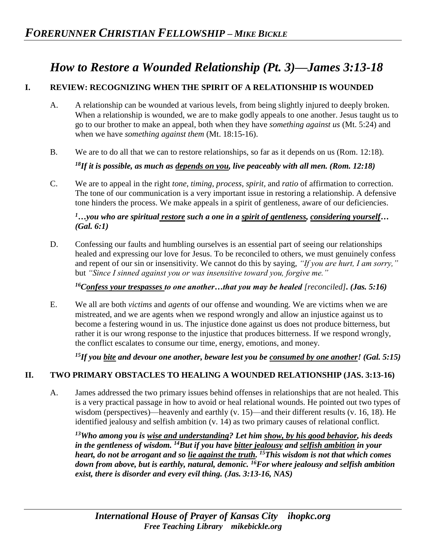# *How to Restore a Wounded Relationship (Pt. 3)—James 3:13-18*

### **I. REVIEW: RECOGNIZING WHEN THE SPIRIT OF A RELATIONSHIP IS WOUNDED**

- A. A relationship can be wounded at various levels, from being slightly injured to deeply broken. When a relationship is wounded, we are to make godly appeals to one another. Jesus taught us to go to our brother to make an appeal, both when they have *something against us* (Mt. 5:24) and when we have *something against them* (Mt. 18:15-16).
- B. We are to do all that we can to restore relationships, so far as it depends on us (Rom. 12:18).

*<sup>18</sup>If it is possible, as much as depends on you, live peaceably with all men. (Rom. 12:18)*

C. We are to appeal in the right *tone*, *timing*, *process*, *spirit,* and *ratio* of affirmation to correction. The tone of our communication is a very important issue in restoring a relationship. A defensive tone hinders the process. We make appeals in a spirit of gentleness, aware of our deficiencies.

*<sup>1</sup>…you who are spiritual restore such a one in a spirit of gentleness, considering yourself… (Gal. 6:1)*

D. Confessing our faults and humbling ourselves is an essential part of seeing our relationships healed and expressing our love for Jesus. To be reconciled to others, we must genuinely confess and repent of our sin or insensitivity. We cannot do this by saying, *"If you are hurt, I am sorry,"*  but *"Since I sinned against you or was insensitive toward you, forgive me."* 

<sup>16</sup>Confess your trespasses to one another...that you may be healed [reconciled]. (Jas. 5:16)

E. We all are both *victims* and *agents* of our offense and wounding. We are victims when we are mistreated, and we are agents when we respond wrongly and allow an injustice against us to become a festering wound in us. The injustice done against us does not produce bitterness, but rather it is our wrong response to the injustice that produces bitterness. If we respond wrongly, the conflict escalates to consume our time, energy, emotions, and money.

*<sup>15</sup>If you bite and devour one another, beware lest you be consumed by one another! (Gal. 5:15)*

#### **II. TWO PRIMARY OBSTACLES TO HEALING A WOUNDED RELATIONSHIP (JAS. 3:13-16)**

A. James addressed the two primary issues behind offenses in relationships that are not healed. This is a very practical passage in how to avoid or heal relational wounds. He pointed out two types of wisdom (perspectives)—heavenly and earthly (v. 15)—and their different results (v. 16, 18). He identified jealousy and selfish ambition (v. 14) as two primary causes of relational conflict.

*<sup>13</sup>Who among you is wise and understanding? Let him show, by his good behavior, his deeds in the gentleness of wisdom. <sup>14</sup>But if you have bitter jealousy and selfish ambition in your heart, do not be arrogant and so lie against the truth. <sup>15</sup>This wisdom is not that which comes down from above, but is earthly, natural, demonic. <sup>16</sup>For where jealousy and selfish ambition exist, there is disorder and every evil thing. (Jas. 3:13-16, NAS)*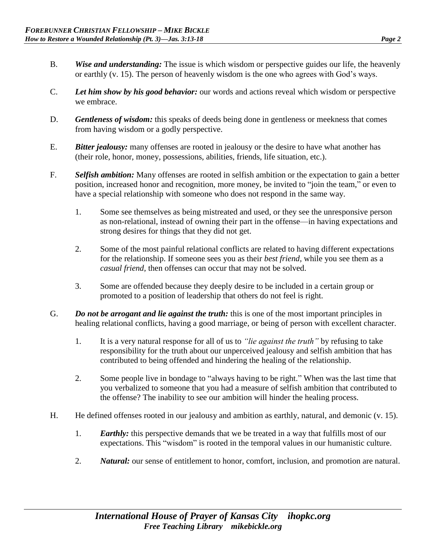- B. *Wise and understanding:* The issue is which wisdom or perspective guides our life, the heavenly or earthly (v. 15). The person of heavenly wisdom is the one who agrees with God's ways.
- C. *Let him show by his good behavior:* our words and actions reveal which wisdom or perspective we embrace.
- D. *Gentleness of wisdom:* this speaks of deeds being done in gentleness or meekness that comes from having wisdom or a godly perspective.
- E. *Bitter jealousy:* many offenses are rooted in jealousy or the desire to have what another has (their role, honor, money, possessions, abilities, friends, life situation, etc.).
- F. *Selfish ambition:* Many offenses are rooted in selfish ambition or the expectation to gain a better position, increased honor and recognition, more money, be invited to "join the team," or even to have a special relationship with someone who does not respond in the same way.
	- 1. Some see themselves as being mistreated and used, or they see the unresponsive person as non-relational, instead of owning their part in the offense—in having expectations and strong desires for things that they did not get.
	- 2. Some of the most painful relational conflicts are related to having different expectations for the relationship. If someone sees you as their *best friend,* while you see them as a *casual friend,* then offenses can occur that may not be solved.
	- 3. Some are offended because they deeply desire to be included in a certain group or promoted to a position of leadership that others do not feel is right.
- G. *Do not be arrogant and lie against the truth:* this is one of the most important principles in healing relational conflicts, having a good marriage, or being of person with excellent character.
	- 1. It is a very natural response for all of us to *"lie against the truth"* by refusing to take responsibility for the truth about our unperceived jealousy and selfish ambition that has contributed to being offended and hindering the healing of the relationship.
	- 2. Some people live in bondage to "always having to be right." When was the last time that you verbalized to someone that you had a measure of selfish ambition that contributed to the offense? The inability to see our ambition will hinder the healing process.
- H. He defined offenses rooted in our jealousy and ambition as earthly, natural, and demonic (v. 15).
	- 1. *Earthly:* this perspective demands that we be treated in a way that fulfills most of our expectations. This "wisdom" is rooted in the temporal values in our humanistic culture.
	- 2. *Natural:* our sense of entitlement to honor, comfort, inclusion, and promotion are natural.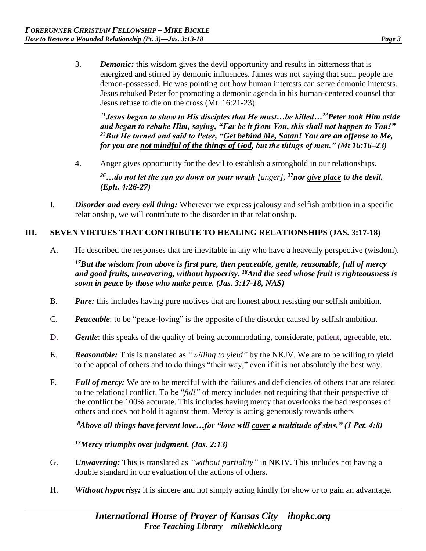3. *Demonic:* this wisdom gives the devil opportunity and results in bitterness that is energized and stirred by demonic influences. James was not saying that such people are demon-possessed. He was pointing out how human interests can serve demonic interests. Jesus rebuked Peter for promoting a demonic agenda in his human-centered counsel that Jesus refuse to die on the cross (Mt. 16:21-23).

*<sup>21</sup>Jesus began to show to His disciples that He must…be killed…<sup>22</sup>Peter took Him aside and began to rebuke Him, saying, "Far be it from You, this shall not happen to You!" <sup>23</sup>But He turned and said to Peter, "Get behind Me, Satan! You are an offense to Me, for you are not mindful of the things of God, but the things of men." (Mt 16:16–23)*

4. Anger gives opportunity for the devil to establish a stronghold in our relationships.

*<sup>26</sup>…do not let the sun go down on your wrath [anger], <sup>27</sup>nor give place to the devil. (Eph. 4:26-27)* 

I. *Disorder and every evil thing:* Wherever we express jealousy and selfish ambition in a specific relationship, we will contribute to the disorder in that relationship.

#### **III. SEVEN VIRTUES THAT CONTRIBUTE TO HEALING RELATIONSHIPS (JAS. 3:17-18)**

A. He described the responses that are inevitable in any who have a heavenly perspective (wisdom).

*<sup>17</sup>But the wisdom from above is first pure, then peaceable, gentle, reasonable, full of mercy and good fruits, unwavering, without hypocrisy. <sup>18</sup>And the seed whose fruit is righteousness is sown in peace by those who make peace. (Jas. 3:17-18, NAS)* 

- B. *Pure:* this includes having pure motives that are honest about resisting our selfish ambition.
- C. *Peaceable*: to be "peace-loving" is the opposite of the disorder caused by selfish ambition.
- D. *Gentle*: this speaks of the quality of being accommodating, considerate, patient, agreeable, etc.
- E. *Reasonable:* This is translated as *"willing to yield"* by the NKJV. We are to be willing to yield to the appeal of others and to do things "their way," even if it is not absolutely the best way.
- F. *Full of mercy:* We are to be merciful with the failures and deficiencies of others that are related to the relational conflict. To be "*full"* of mercy includes not requiring that their perspective of the conflict be 100% accurate. This includes having mercy that overlooks the bad responses of others and does not hold it against them. Mercy is acting generously towards others

*<sup>8</sup>Above all things have fervent love…for "love will cover a multitude of sins." (1 Pet. 4:8)*

*<sup>13</sup>Mercy triumphs over judgment. (Jas. 2:13)*

- G. *Unwavering:* This is translated as *"without partiality"* in NKJV. This includes not having a double standard in our evaluation of the actions of others.
- H. *Without hypocrisy:* it is sincere and not simply acting kindly for show or to gain an advantage.